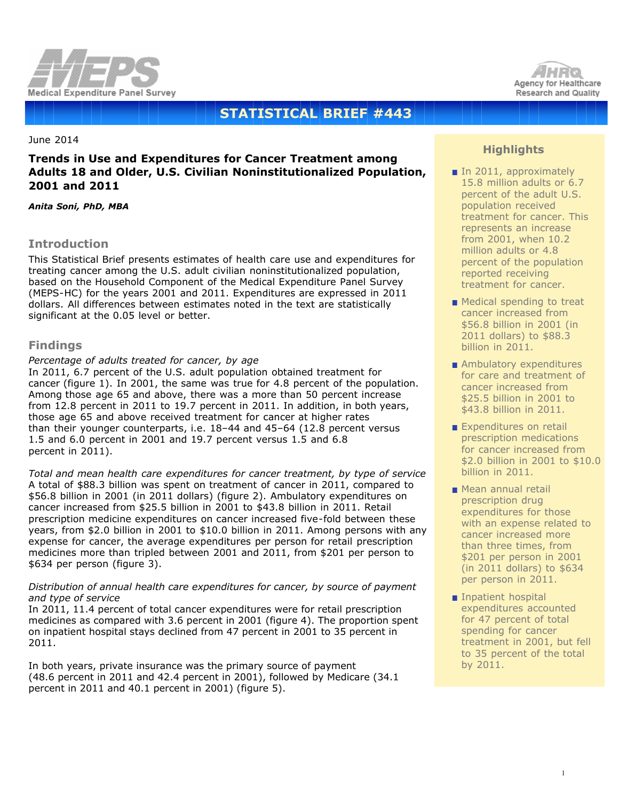



# **STATISTICAL BRIEF #443**

June 2014

# **Trends in Use and Expenditures for Cancer Treatment among Adults 18 and Older, U.S. Civilian Noninstitutionalized Population, 2001 and 2011**

*Anita Soni, PhD, MBA*

# **Introduction**

This Statistical Brief presents estimates of health care use and expenditures for treating cancer among the U.S. adult civilian noninstitutionalized population, based on the Household Component of the Medical Expenditure Panel Survey (MEPS-HC) for the years 2001 and 2011. Expenditures are expressed in 2011 dollars. All differences between estimates noted in the text are statistically significant at the 0.05 level or better.

### **Findings**

#### *Percentage of adults treated for cancer, by age*

In 2011, 6.7 percent of the U.S. adult population obtained treatment for cancer (figure 1). In 2001, the same was true for 4.8 percent of the population. Among those age 65 and above, there was a more than 50 percent increase from 12.8 percent in 2011 to 19.7 percent in 2011. In addition, in both years, those age 65 and above received treatment for cancer at higher rates than their younger counterparts, i.e. 18–44 and 45–64 (12.8 percent versus 1.5 and 6.0 percent in 2001 and 19.7 percent versus 1.5 and 6.8 percent in 2011).

*Total and mean health care expenditures for cancer treatment, by type of service* A total of \$88.3 billion was spent on treatment of cancer in 2011, compared to \$56.8 billion in 2001 (in 2011 dollars) (figure 2). Ambulatory expenditures on cancer increased from \$25.5 billion in 2001 to \$43.8 billion in 2011. Retail prescription medicine expenditures on cancer increased five-fold between these years, from \$2.0 billion in 2001 to \$10.0 billion in 2011. Among persons with any expense for cancer, the average expenditures per person for retail prescription medicines more than tripled between 2001 and 2011, from \$201 per person to \$634 per person (figure 3).

#### *Distribution of annual health care expenditures for cancer, by source of payment and type of service*

In 2011, 11.4 percent of total cancer expenditures were for retail prescription medicines as compared with 3.6 percent in 2001 (figure 4). The proportion spent on inpatient hospital stays declined from 47 percent in 2001 to 35 percent in 2011.

In both years, private insurance was the primary source of payment (48.6 percent in 2011 and 42.4 percent in 2001), followed by Medicare (34.1 percent in 2011 and 40.1 percent in 2001) (figure 5).

# **Highlights**

- In 2011, approximately 15.8 million adults or 6.7 percent of the adult U.S. population received treatment for cancer. This represents an increase from 2001, when 10.2 million adults or 4.8 percent of the population reported receiving treatment for cancer.
- **Medical spending to treat** cancer increased from \$56.8 billion in 2001 (in 2011 dollars) to \$88.3 billion in 2011.
- Ambulatory expenditures for care and treatment of cancer increased from \$25.5 billion in 2001 to \$43.8 billion in 2011.
- Expenditures on retail prescription medications for cancer increased from \$2.0 billion in 2001 to \$10.0 billion in 2011.
- **Mean annual retail** prescription drug expenditures for those with an expense related to cancer increased more than three times, from \$201 per person in 2001 (in 2011 dollars) to \$634 per person in 2011.
- **Inpatient hospital** expenditures accounted for 47 percent of total spending for cancer treatment in 2001, but fell to 35 percent of the total by 2011.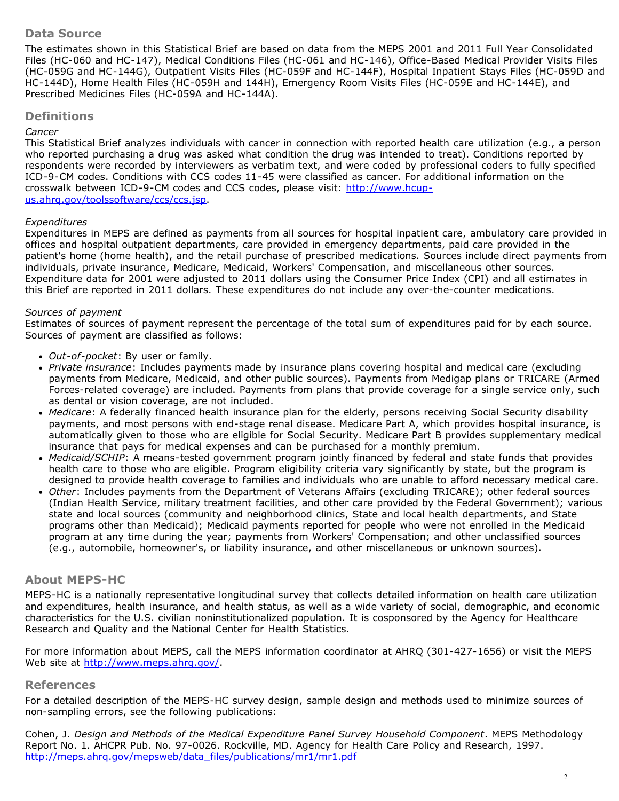# **Data Source**

The estimates shown in this Statistical Brief are based on data from the MEPS 2001 and 2011 Full Year Consolidated Files (HC-060 and HC-147), Medical Conditions Files (HC-061 and HC-146), Office-Based Medical Provider Visits Files (HC-059G and HC-144G), Outpatient Visits Files (HC-059F and HC-144F), Hospital Inpatient Stays Files (HC-059D and HC-144D), Home Health Files (HC-059H and 144H), Emergency Room Visits Files (HC-059E and HC-144E), and Prescribed Medicines Files (HC-059A and HC-144A).

### **Definitions**

#### *Cancer*

This Statistical Brief analyzes individuals with cancer in connection with reported health care utilization (e.g., a person who reported purchasing a drug was asked what condition the drug was intended to treat). Conditions reported by respondents were recorded by interviewers as verbatim text, and were coded by professional coders to fully specified ICD-9-CM codes. Conditions with CCS codes 11-45 were classified as cancer. For additional information on the crosswalk between ICD-9-CM codes and CCS codes, please visit: [http://www.hcup](http://www.hcup-us.ahrq.gov/toolssoftware/ccs/ccs.jsp)[us.ahrq.gov/toolssoftware/ccs/ccs.jsp.](http://www.hcup-us.ahrq.gov/toolssoftware/ccs/ccs.jsp)

#### *Expenditures*

Expenditures in MEPS are defined as payments from all sources for hospital inpatient care, ambulatory care provided in offices and hospital outpatient departments, care provided in emergency departments, paid care provided in the patient's home (home health), and the retail purchase of prescribed medications. Sources include direct payments from individuals, private insurance, Medicare, Medicaid, Workers' Compensation, and miscellaneous other sources. Expenditure data for 2001 were adjusted to 2011 dollars using the Consumer Price Index (CPI) and all estimates in this Brief are reported in 2011 dollars. These expenditures do not include any over-the-counter medications.

#### *Sources of payment*

Estimates of sources of payment represent the percentage of the total sum of expenditures paid for by each source. Sources of payment are classified as follows:

- *Out-of-pocket*: By user or family.
- *Private insurance*: Includes payments made by insurance plans covering hospital and medical care (excluding payments from Medicare, Medicaid, and other public sources). Payments from Medigap plans or TRICARE (Armed Forces-related coverage) are included. Payments from plans that provide coverage for a single service only, such as dental or vision coverage, are not included.
- *Medicare*: A federally financed health insurance plan for the elderly, persons receiving Social Security disability payments, and most persons with end-stage renal disease. Medicare Part A, which provides hospital insurance, is automatically given to those who are eligible for Social Security. Medicare Part B provides supplementary medical insurance that pays for medical expenses and can be purchased for a monthly premium.
- *Medicaid/SCHIP*: A means-tested government program jointly financed by federal and state funds that provides health care to those who are eligible. Program eligibility criteria vary significantly by state, but the program is designed to provide health coverage to families and individuals who are unable to afford necessary medical care.
- *Other*: Includes payments from the Department of Veterans Affairs (excluding TRICARE); other federal sources (Indian Health Service, military treatment facilities, and other care provided by the Federal Government); various state and local sources (community and neighborhood clinics, State and local health departments, and State programs other than Medicaid); Medicaid payments reported for people who were not enrolled in the Medicaid program at any time during the year; payments from Workers' Compensation; and other unclassified sources (e.g., automobile, homeowner's, or liability insurance, and other miscellaneous or unknown sources).

# **About MEPS-HC**

MEPS-HC is a nationally representative longitudinal survey that collects detailed information on health care utilization and expenditures, health insurance, and health status, as well as a wide variety of social, demographic, and economic characteristics for the U.S. civilian noninstitutionalized population. It is cosponsored by the Agency for Healthcare Research and Quality and the National Center for Health Statistics.

For more information about MEPS, call the MEPS information coordinator at AHRQ (301-427-1656) or visit the MEPS Web site at http://www.meps.ahrg.gov/.

#### **References**

For a detailed description of the MEPS-HC survey design, sample design and methods used to minimize sources of non-sampling errors, see the following publications:

Cohen, J. *Design and Methods of the Medical Expenditure Panel Survey Household Component*. MEPS Methodology Report No. 1. AHCPR Pub. No. 97-0026. Rockville, MD. Agency for Health Care Policy and Research, 1997. [http://meps.ahrq.gov/mepsweb/data\\_files/publications/mr1/mr1.pdf](http://meps.ahrq.gov/mepsweb/data_files/publications/mr1/mr1.pdf)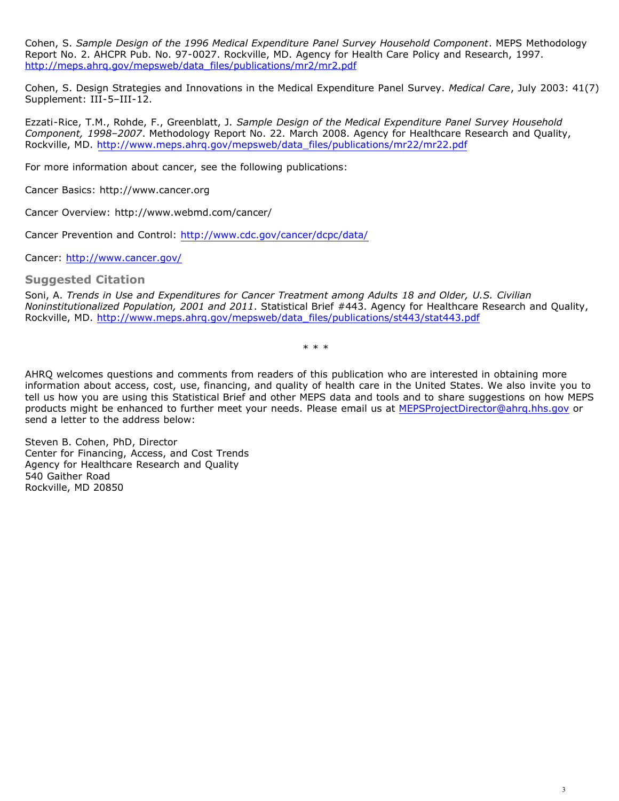Cohen, S. *Sample Design of the 1996 Medical Expenditure Panel Survey Household Component*. MEPS Methodology Report No. 2. AHCPR Pub. No. 97-0027. Rockville, MD. Agency for Health Care Policy and Research, 1997. [http://meps.ahrq.gov/mepsweb/data\\_files/publications/mr2/mr2.pdf](http://meps.ahrq.gov/mepsweb/data_files/publications/mr2/mr2.pdf)

Cohen, S. Design Strategies and Innovations in the Medical Expenditure Panel Survey. *Medical Care*, July 2003: 41(7) Supplement: III-5–III-12.

Ezzati-Rice, T.M., Rohde, F., Greenblatt, J. *Sample Design of the Medical Expenditure Panel Survey Household Component, 1998–2007*. Methodology Report No. 22. March 2008. Agency for Healthcare Research and Quality, Rockville, MD[. http://www.meps.ahrq.gov/mepsweb/data\\_files/publications/mr22/mr22.pdf](http://www.meps.ahrq.gov/mepsweb/data_files/publications/mr22/mr22.pdf)

For more information about cancer, see the following publications:

Cancer Basics: http://www.cancer.org

Cancer Overview: http://www.webmd.com/cancer/

Cancer Prevention and Control: <http://www.cdc.gov/cancer/dcpc/data/>

Cancer:<http://www.cancer.gov/>

#### **Suggested Citation**

Soni, A. *Trends in Use and Expenditures for Cancer Treatment among Adults 18 and Older, U.S. Civilian Noninstitutionalized Population, 2001 and 2011*. Statistical Brief #443. Agency for Healthcare Research and Quality, Rockville, MD. [http://www.meps.ahrq.gov/mepsweb/data\\_files/publications/st443/stat443.pdf](http://www.meps.ahrq.gov/mepsweb/data_files/publications/st443/stat443.pdf)

\* \* \*

AHRQ welcomes questions and comments from readers of this publication who are interested in obtaining more information about access, cost, use, financing, and quality of health care in the United States. We also invite you to tell us how you are using this Statistical Brief and other MEPS data and tools and to share suggestions on how MEPS products might be enhanced to further meet your needs. Please email us at [MEPSProjectDirector@ahrq.hhs.gov](mailto:MEPSProjectDirector@ahrq.hhs.gov) or send a letter to the address below:

Steven B. Cohen, PhD, Director Center for Financing, Access, and Cost Trends Agency for Healthcare Research and Quality 540 Gaither Road Rockville, MD 20850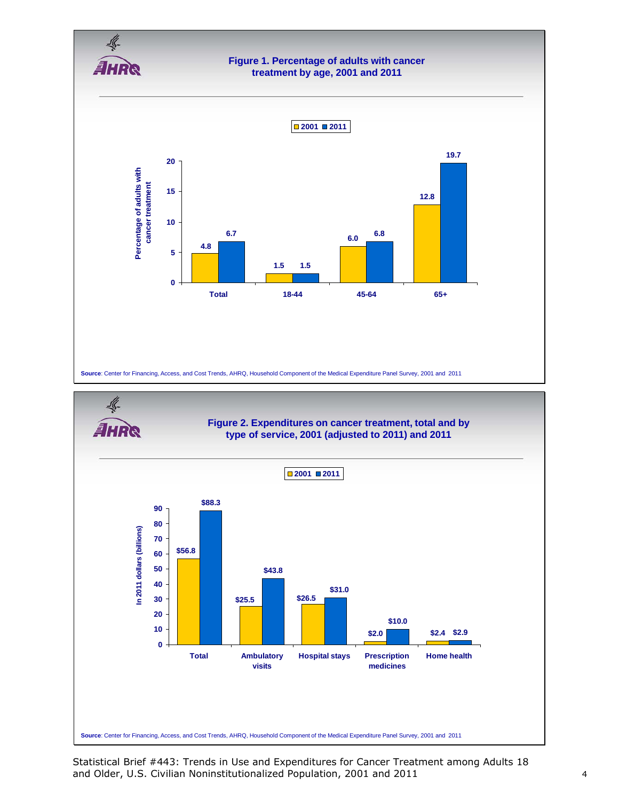



Statistical Brief #443: Trends in Use and Expenditures for Cancer Treatment among Adults 18 and Older, U.S. Civilian Noninstitutionalized Population, 2001 and 2011 4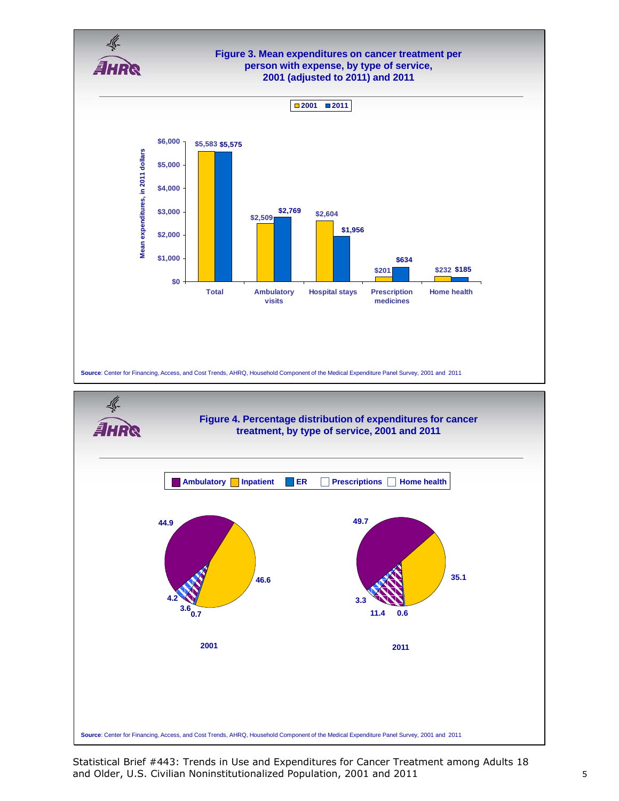

Statistical Brief #443: Trends in Use and Expenditures for Cancer Treatment among Adults 18 and Older, U.S. Civilian Noninstitutionalized Population, 2001 and 2011 **5** 5